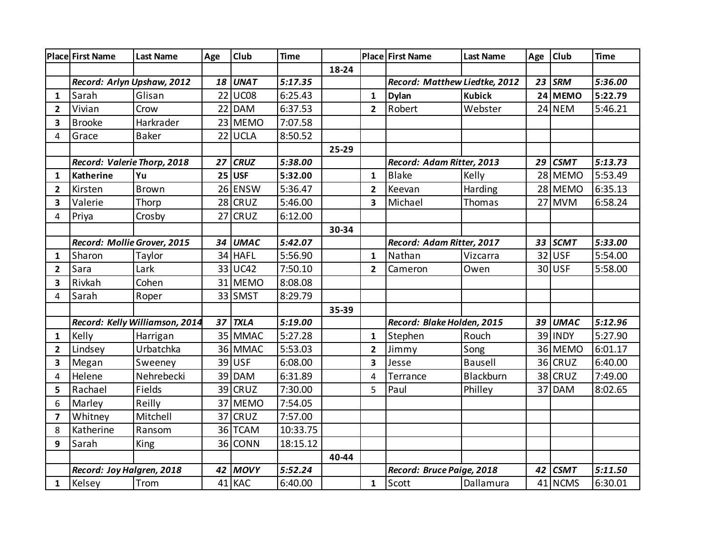|                         | <b>Place First Name</b>     | <b>Last Name</b>               | Age | Club        | <b>Time</b> |       |                         | Place First Name              | <b>Last Name</b> | Age | <b>Club</b> | <b>Time</b> |
|-------------------------|-----------------------------|--------------------------------|-----|-------------|-------------|-------|-------------------------|-------------------------------|------------------|-----|-------------|-------------|
|                         |                             |                                |     |             |             | 18-24 |                         |                               |                  |     |             |             |
|                         | Record: Arlyn Upshaw, 2012  |                                | 18  | <b>UNAT</b> | 5:17.35     |       |                         | Record: Matthew Liedtke, 2012 |                  |     | $23$ SRM    | 5:36.00     |
| 1                       | Sarah                       | Glisan                         | 22  | UC08        | 6:25.43     |       | $\mathbf{1}$            | <b>Dylan</b>                  | <b>Kubick</b>    |     | 24 MEMO     | 5:22.79     |
| $\overline{2}$          | Vivian                      | Crow                           |     | 22 DAM      | 6:37.53     |       | $\overline{2}$          | Robert                        | Webster          |     | $24$ NEM    | 5:46.21     |
| 3                       | <b>Brooke</b>               | Harkrader                      |     | 23 MEMO     | 7:07.58     |       |                         |                               |                  |     |             |             |
| 4                       | Grace                       | <b>Baker</b>                   | 22  | <b>UCLA</b> | 8:50.52     |       |                         |                               |                  |     |             |             |
|                         |                             |                                |     |             |             | 25-29 |                         |                               |                  |     |             |             |
|                         | Record: Valerie Thorp, 2018 |                                | 27  | <b>CRUZ</b> | 5:38.00     |       |                         | Record: Adam Ritter, 2013     |                  | 29  | <b>CSMT</b> | 5:13.73     |
| 1                       | <b>Katherine</b>            | Yu                             |     | $25$ USF    | 5:32.00     |       | $\mathbf{1}$            | <b>Blake</b>                  | Kelly            |     | 28 MEMO     | 5:53.49     |
| $\overline{2}$          | Kirsten                     | <b>Brown</b>                   |     | 26 ENSW     | 5:36.47     |       | $\overline{2}$          | Keevan                        | Harding          |     | 28 MEMO     | 6:35.13     |
| 3                       | Valerie                     | Thorp                          |     | $28$ CRUZ   | 5:46.00     |       | 3                       | Michael                       | Thomas           |     | 27 MVM      | 6:58.24     |
| 4                       | Priya                       | Crosby                         | 27  | <b>CRUZ</b> | 6:12.00     |       |                         |                               |                  |     |             |             |
|                         |                             |                                |     |             |             | 30-34 |                         |                               |                  |     |             |             |
|                         | Record: Mollie Grover, 2015 |                                | 34  | <b>UMAC</b> | 5:42.07     |       |                         | Record: Adam Ritter, 2017     |                  |     | 33 SCMT     | 5:33.00     |
| $\mathbf{1}$            | Sharon                      | Taylor                         |     | 34 HAFL     | 5:56.90     |       | $\mathbf{1}$            | Nathan                        | Vizcarra         |     | 32 USF      | 5:54.00     |
| $\overline{2}$          | Sara                        | Lark                           |     | 33 UC42     | 7:50.10     |       | $\overline{2}$          | Cameron                       | Owen             |     | 30 USF      | 5:58.00     |
| $\overline{\mathbf{3}}$ | Rivkah                      | Cohen                          |     | 31 MEMO     | 8:08.08     |       |                         |                               |                  |     |             |             |
| 4                       | Sarah                       | Roper                          |     | 33 SMST     | 8:29.79     |       |                         |                               |                  |     |             |             |
|                         |                             |                                |     |             |             | 35-39 |                         |                               |                  |     |             |             |
|                         |                             | Record: Kelly Williamson, 2014 | 37  | <b>TXLA</b> | 5:19.00     |       |                         | Record: Blake Holden, 2015    |                  | 39  | <b>UMAC</b> | 5:12.96     |
| $\mathbf{1}$            | Kelly                       | Harrigan                       |     | 35 MMAC     | 5:27.28     |       | $\mathbf{1}$            | Stephen                       | Rouch            |     | 39 INDY     | 5:27.90     |
| $\overline{2}$          | Lindsey                     | Urbatchka                      |     | 36 MMAC     | 5:53.03     |       | $\overline{2}$          | Jimmy                         | Song             |     | 36 MEMO     | 6:01.17     |
| 3                       | Megan                       | Sweeney                        |     | 39 USF      | 6:08.00     |       | $\overline{\mathbf{3}}$ | Jesse                         | <b>Bausell</b>   |     | 36 CRUZ     | 6:40.00     |
| 4                       | Helene                      | Nehrebecki                     |     | 39 DAM      | 6:31.89     |       | $\overline{4}$          | Terrance                      | Blackburn        |     | 38 CRUZ     | 7:49.00     |
| 5                       | Rachael                     | Fields                         |     | $39$ CRUZ   | 7:30.00     |       | 5                       | Paul                          | Philley          | 37  | <b>DAM</b>  | 8:02.65     |
| 6                       | Marley                      | Reilly                         | 37  | <b>MEMO</b> | 7:54.05     |       |                         |                               |                  |     |             |             |
| $\overline{\mathbf{z}}$ | Whitney                     | Mitchell                       | 37  | <b>CRUZ</b> | 7:57.00     |       |                         |                               |                  |     |             |             |
| 8                       | Katherine                   | Ransom                         | 36  | <b>TCAM</b> | 10:33.75    |       |                         |                               |                  |     |             |             |
| 9                       | Sarah                       | King                           |     | 36 CONN     | 18:15.12    |       |                         |                               |                  |     |             |             |
|                         |                             |                                |     |             |             | 40-44 |                         |                               |                  |     |             |             |
|                         | Record: Joy Halgren, 2018   |                                |     | 42 MOVY     | 5:52.24     |       |                         | Record: Bruce Paige, 2018     |                  | 42  | <b>CSMT</b> | 5:11.50     |
| $\mathbf{1}$            | Kelsey                      | Trom                           |     | 41 KAC      | 6:40.00     |       | $\mathbf{1}$            | Scott                         | Dallamura        |     | 41 NCMS     | 6:30.01     |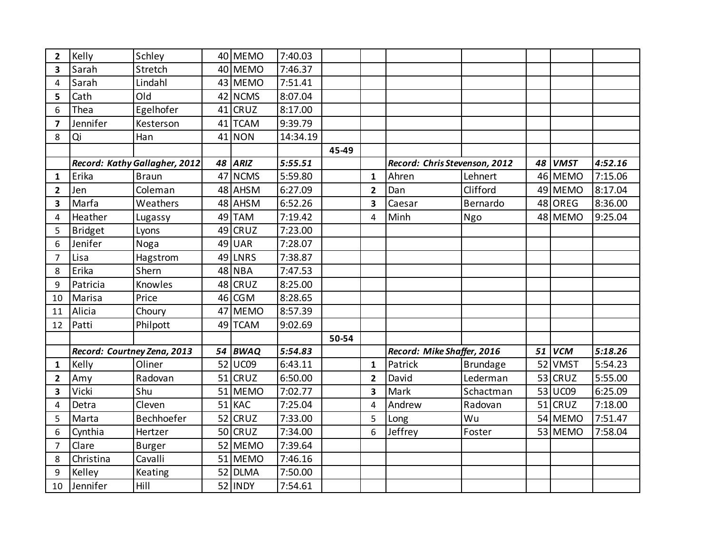| $\mathbf{2}$            | Kelly          | Schley                        |    | 40 MEMO     | 7:40.03  |       |                         |                               |                 |    |             |         |
|-------------------------|----------------|-------------------------------|----|-------------|----------|-------|-------------------------|-------------------------------|-----------------|----|-------------|---------|
| 3                       | Sarah          | Stretch                       |    | 40 MEMO     | 7:46.37  |       |                         |                               |                 |    |             |         |
| $\overline{4}$          | Sarah          | Lindahl                       |    | 43 MEMO     | 7:51.41  |       |                         |                               |                 |    |             |         |
| 5                       | Cath           | Old                           |    | 42 NCMS     | 8:07.04  |       |                         |                               |                 |    |             |         |
| 6                       | Thea           | Egelhofer                     |    | $41$ CRUZ   | 8:17.00  |       |                         |                               |                 |    |             |         |
| $\overline{\mathbf{z}}$ | Jennifer       | Kesterson                     |    | 41 TCAM     | 9:39.79  |       |                         |                               |                 |    |             |         |
| 8                       | Qi             | Han                           |    | $41$ NON    | 14:34.19 |       |                         |                               |                 |    |             |         |
|                         |                |                               |    |             |          | 45-49 |                         |                               |                 |    |             |         |
|                         |                | Record: Kathy Gallagher, 2012 |    | 48 ARIZ     | 5:55.51  |       |                         | Record: Chris Stevenson, 2012 |                 | 48 | <b>VMST</b> | 4:52.16 |
| 1                       | Erika          | <b>Braun</b>                  | 47 | <b>NCMS</b> | 5:59.80  |       | $\mathbf{1}$            | Ahren                         | Lehnert         |    | 46 MEMO     | 7:15.06 |
| $\overline{2}$          | Jen            | Coleman                       |    | 48 AHSM     | 6:27.09  |       | $\overline{2}$          | Dan                           | Clifford        |    | 49 MEMO     | 8:17.04 |
| 3                       | Marfa          | Weathers                      |    | 48 AHSM     | 6:52.26  |       | $\overline{\mathbf{3}}$ | Caesar                        | Bernardo        | 48 | OREG        | 8:36.00 |
| 4                       | Heather        | Lugassy                       |    | 49 TAM      | 7:19.42  |       | 4                       | Minh                          | Ngo             |    | 48 MEMO     | 9:25.04 |
| 5                       | <b>Bridget</b> | Lyons                         | 49 | <b>CRUZ</b> | 7:23.00  |       |                         |                               |                 |    |             |         |
| 6                       | Jenifer        | Noga                          | 49 | <b>UAR</b>  | 7:28.07  |       |                         |                               |                 |    |             |         |
| 7                       | Lisa           | Hagstrom                      |    | 49 LNRS     | 7:38.87  |       |                         |                               |                 |    |             |         |
| 8                       | Erika          | Shern                         |    | 48 NBA      | 7:47.53  |       |                         |                               |                 |    |             |         |
| 9                       | Patricia       | Knowles                       | 48 | <b>CRUZ</b> | 8:25.00  |       |                         |                               |                 |    |             |         |
| 10                      | Marisa         | Price                         | 46 | <b>CGM</b>  | 8:28.65  |       |                         |                               |                 |    |             |         |
| 11                      | Alicia         | Choury                        |    | 47 MEMO     | 8:57.39  |       |                         |                               |                 |    |             |         |
| 12                      | Patti          | Philpott                      |    | 49 TCAM     | 9:02.69  |       |                         |                               |                 |    |             |         |
|                         |                |                               |    |             |          | 50-54 |                         |                               |                 |    |             |         |
|                         |                | Record: Courtney Zena, 2013   |    | 54 BWAQ     | 5:54.83  |       |                         | Record: Mike Shaffer, 2016    |                 | 51 | <b>VCM</b>  | 5:18.26 |
| $\mathbf{1}$            | Kelly          | Oliner                        |    | 52 UC09     | 6:43.11  |       | $\mathbf{1}$            | Patrick                       | <b>Brundage</b> | 52 | <b>VMST</b> | 5:54.23 |
| $\mathbf{2}$            | Amy            | Radovan                       |    | $51$ CRUZ   | 6:50.00  |       | $\overline{2}$          | David                         | Lederman        | 53 | <b>CRUZ</b> | 5:55.00 |
| 3                       | Vicki          | Shu                           |    | 51 MEMO     | 7:02.77  |       | $\overline{\mathbf{3}}$ | Mark                          | Schactman       | 53 | UC09        | 6:25.09 |
| 4                       | Detra          | Cleven                        |    | 51 KAC      | 7:25.04  |       | $\overline{4}$          | Andrew                        | Radovan         | 51 | <b>CRUZ</b> | 7:18.00 |
| 5                       | Marta          | Bechhoefer                    |    | $52$ CRUZ   | 7:33.00  |       | 5                       | Long                          | Wu              |    | 54 MEMO     | 7:51.47 |
| 6                       | Cynthia        | Hertzer                       |    | $50$ CRUZ   | 7:34.00  |       | 6                       | Jeffrey                       | Foster          |    | 53 MEMO     | 7:58.04 |
| $\overline{7}$          | Clare          | <b>Burger</b>                 |    | 52 MEMO     | 7:39.64  |       |                         |                               |                 |    |             |         |
| 8                       | Christina      | Cavalli                       |    | 51 MEMO     | 7:46.16  |       |                         |                               |                 |    |             |         |
| 9                       | Kelley         | Keating                       |    | 52 DLMA     | 7:50.00  |       |                         |                               |                 |    |             |         |
| 10                      | Jennifer       | Hill                          |    | 52 INDY     | 7:54.61  |       |                         |                               |                 |    |             |         |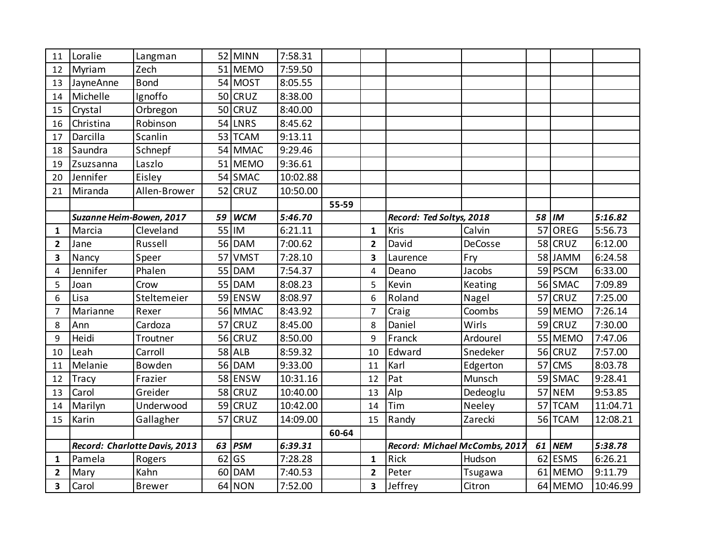| 11             | Loralie                  | Langman                       |    | 52 MINN     | 7:58.31  |       |                         |                               |          |    |             |          |
|----------------|--------------------------|-------------------------------|----|-------------|----------|-------|-------------------------|-------------------------------|----------|----|-------------|----------|
| 12             | Myriam                   | Zech                          |    | 51 MEMO     | 7:59.50  |       |                         |                               |          |    |             |          |
| 13             | JayneAnne                | <b>Bond</b>                   |    | 54 MOST     | 8:05.55  |       |                         |                               |          |    |             |          |
| 14             | Michelle                 | Ignoffo                       |    | 50 CRUZ     | 8:38.00  |       |                         |                               |          |    |             |          |
| 15             | Crystal                  | Orbregon                      |    | 50 CRUZ     | 8:40.00  |       |                         |                               |          |    |             |          |
| 16             | Christina                | Robinson                      |    | 54 LNRS     | 8:45.62  |       |                         |                               |          |    |             |          |
| 17             | Darcilla                 | Scanlin                       |    | 53 TCAM     | 9:13.11  |       |                         |                               |          |    |             |          |
| 18             | Saundra                  | Schnepf                       |    | 54 MMAC     | 9:29.46  |       |                         |                               |          |    |             |          |
| 19             | Zsuzsanna                | Laszlo                        |    | 51 MEMO     | 9:36.61  |       |                         |                               |          |    |             |          |
| 20             | Jennifer                 | Eisley                        |    | 54 SMAC     | 10:02.88 |       |                         |                               |          |    |             |          |
| 21             | Miranda                  | Allen-Brower                  |    | 52 CRUZ     | 10:50.00 |       |                         |                               |          |    |             |          |
|                |                          |                               |    |             |          | 55-59 |                         |                               |          |    |             |          |
|                | Suzanne Heim-Bowen, 2017 |                               |    | 59 WCM      | 5:46.70  |       |                         | Record: Ted Soltys, 2018      |          |    | 58 IM       | 5:16.82  |
| $\mathbf{1}$   | Marcia                   | Cleveland                     |    | $55$  IM    | 6:21.11  |       | $\mathbf{1}$            | Kris                          | Calvin   | 57 | OREG        | 5:56.73  |
| $\overline{2}$ | Jane                     | Russell                       |    | 56 DAM      | 7:00.62  |       | $\overline{\mathbf{2}}$ | David                         | DeCosse  | 58 | <b>CRUZ</b> | 6:12.00  |
| 3              | Nancy                    | Speer                         |    | 57 VMST     | 7:28.10  |       | 3                       | Laurence                      | Fry      |    | 58 JAMM     | 6:24.58  |
| 4              | Jennifer                 | Phalen                        | 55 | <b>DAM</b>  | 7:54.37  |       | $\overline{4}$          | Deano                         | Jacobs   |    | 59 PSCM     | 6:33.00  |
| 5              | Joan                     | Crow                          | 55 | <b>DAM</b>  | 8:08.23  |       | 5                       | Kevin                         | Keating  |    | 56 SMAC     | 7:09.89  |
| 6              | Lisa                     | Steltemeier                   |    | 59 ENSW     | 8:08.97  |       | 6                       | Roland                        | Nagel    | 57 | <b>CRUZ</b> | 7:25.00  |
| 7              | Marianne                 | Rexer                         |    | 56 MMAC     | 8:43.92  |       | $\overline{7}$          | Craig                         | Coombs   | 59 | <b>MEMO</b> | 7:26.14  |
| 8              | Ann                      | Cardoza                       |    | 57 CRUZ     | 8:45.00  |       | 8                       | Daniel                        | Wirls    |    | $59$ CRUZ   | 7:30.00  |
| 9              | Heidi                    | Troutner                      |    | 56 CRUZ     | 8:50.00  |       | 9                       | Franck                        | Ardourel |    | 55 MEMO     | 7:47.06  |
| 10             | Leah                     | Carroll                       |    | 58 ALB      | 8:59.32  |       | 10                      | Edward                        | Snedeker |    | $56$ CRUZ   | 7:57.00  |
| 11             | Melanie                  | Bowden                        |    | 56 DAM      | 9:33.00  |       | 11                      | Karl                          | Edgerton | 57 | <b>CMS</b>  | 8:03.78  |
| 12             | <b>Tracy</b>             | Frazier                       |    | 58 ENSW     | 10:31.16 |       | 12                      | Pat                           | Munsch   | 59 | <b>SMAC</b> | 9:28.41  |
| 13             | Carol                    | Greider                       |    | 58 CRUZ     | 10:40.00 |       | 13                      | Alp                           | Dedeoglu | 57 | <b>NEM</b>  | 9:53.85  |
| 14             | Marilyn                  | Underwood                     |    | 59 CRUZ     | 10:42.00 |       | 14                      | Tim                           | Neeley   | 57 | <b>TCAM</b> | 11:04.71 |
| 15             | Karin                    | Gallagher                     | 57 | <b>CRUZ</b> | 14:09.00 |       | 15                      | Randy                         | Zarecki  |    | 56 TCAM     | 12:08.21 |
|                |                          |                               |    |             |          | 60-64 |                         |                               |          |    |             |          |
|                |                          | Record: Charlotte Davis, 2013 | 63 | <b>PSM</b>  | 6:39.31  |       |                         | Record: Michael McCombs, 2017 |          |    | 61 NEM      | 5:38.78  |
| 1              | Pamela                   | Rogers                        |    | $62$ GS     | 7:28.28  |       | $\mathbf{1}$            | Rick                          | Hudson   | 62 | <b>ESMS</b> | 6:26.21  |
| $\overline{2}$ | Mary                     | Kahn                          |    | 60 DAM      | 7:40.53  |       | $\overline{2}$          | Peter                         | Tsugawa  |    | 61 MEMO     | 9:11.79  |
| 3              | Carol                    | <b>Brewer</b>                 |    | 64 NON      | 7:52.00  |       | 3                       | Jeffrey                       | Citron   |    | 64 MEMO     | 10:46.99 |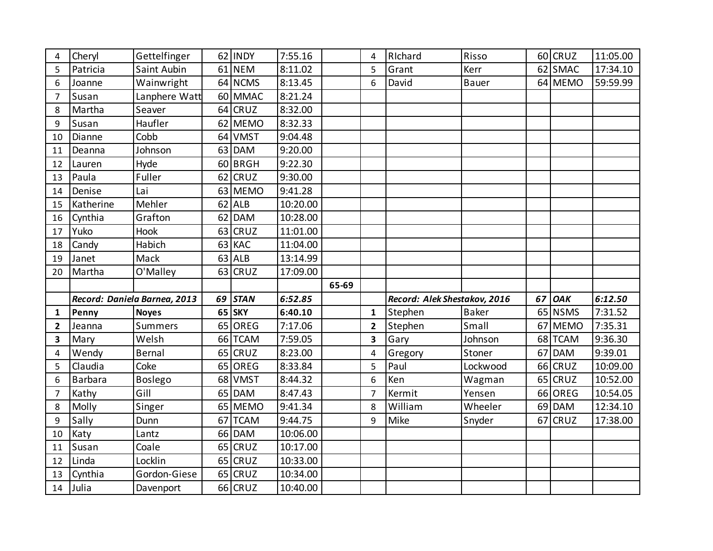| 4              | Cheryl    | Gettelfinger                 |    | 62 INDY     | 7:55.16  |       | 4              | RIchard                      | Risso        |    | 60 CRUZ     | 11:05.00 |
|----------------|-----------|------------------------------|----|-------------|----------|-------|----------------|------------------------------|--------------|----|-------------|----------|
| 5              | Patricia  | Saint Aubin                  |    | 61 NEM      | 8:11.02  |       | 5              | Grant                        | Kerr         |    | 62 SMAC     | 17:34.10 |
| 6              | Joanne    | Wainwright                   |    | 64 NCMS     | 8:13.45  |       | 6              | David                        | <b>Bauer</b> |    | 64 MEMO     | 59:59.99 |
| $\overline{7}$ | Susan     | Lanphere Watt                |    | 60 MMAC     | 8:21.24  |       |                |                              |              |    |             |          |
| 8              | Martha    | Seaver                       |    | 64 CRUZ     | 8:32.00  |       |                |                              |              |    |             |          |
| 9              | Susan     | Haufler                      |    | 62 MEMO     | 8:32.33  |       |                |                              |              |    |             |          |
| 10             | Dianne    | Cobb                         |    | 64 VMST     | 9:04.48  |       |                |                              |              |    |             |          |
| 11             | Deanna    | Johnson                      |    | 63 DAM      | 9:20.00  |       |                |                              |              |    |             |          |
| 12             | Lauren    | Hyde                         |    | 60 BRGH     | 9:22.30  |       |                |                              |              |    |             |          |
| 13             | Paula     | Fuller                       | 62 | <b>CRUZ</b> | 9:30.00  |       |                |                              |              |    |             |          |
| 14             | Denise    | Lai                          |    | 63 MEMO     | 9:41.28  |       |                |                              |              |    |             |          |
| 15             | Katherine | Mehler                       |    | $62$ ALB    | 10:20.00 |       |                |                              |              |    |             |          |
| 16             | Cynthia   | Grafton                      |    | 62 DAM      | 10:28.00 |       |                |                              |              |    |             |          |
| 17             | Yuko      | Hook                         |    | 63 CRUZ     | 11:01.00 |       |                |                              |              |    |             |          |
| 18             | Candy     | Habich                       |    | 63 KAC      | 11:04.00 |       |                |                              |              |    |             |          |
| 19             | Janet     | Mack                         |    | $63$ ALB    | 13:14.99 |       |                |                              |              |    |             |          |
| 20             | Martha    | O'Malley                     |    | $63$ CRUZ   | 17:09.00 |       |                |                              |              |    |             |          |
|                |           |                              |    |             |          |       |                |                              |              |    |             |          |
|                |           |                              |    |             |          | 65-69 |                |                              |              |    |             |          |
|                |           | Record: Daniela Barnea, 2013 |    | 69 STAN     | 6:52.85  |       |                | Record: Alek Shestakov, 2016 |              | 67 | <b>OAK</b>  | 6:12.50  |
| 1              | Penny     | <b>Noyes</b>                 |    | 65 SKY      | 6:40.10  |       | $\mathbf{1}$   | Stephen                      | <b>Baker</b> |    | 65 NSMS     | 7:31.52  |
| 2              | Jeanna    | <b>Summers</b>               | 65 | OREG        | 7:17.06  |       | $\overline{2}$ | Stephen                      | Small        |    | 67 MEMO     | 7:35.31  |
| 3              | Mary      | Welsh                        |    | 66 TCAM     | 7:59.05  |       | 3              | Gary                         | Johnson      | 68 | <b>TCAM</b> | 9:36.30  |
| 4              | Wendy     | Bernal                       |    | $65$ CRUZ   | 8:23.00  |       | $\overline{4}$ | Gregory                      | Stoner       | 67 | <b>DAM</b>  | 9:39.01  |
| 5              | Claudia   | Coke                         |    | 65 OREG     | 8:33.84  |       | 5              | Paul                         | Lockwood     |    | $66$ CRUZ   | 10:09.00 |
| 6              | Barbara   | <b>Boslego</b>               |    | 68 VMST     | 8:44.32  |       | 6              | Ken                          | Wagman       | 65 | <b>CRUZ</b> | 10:52.00 |
| 7              | Kathy     | Gill                         | 65 | <b>DAM</b>  | 8:47.43  |       | $\overline{7}$ | Kermit                       | Yensen       | 66 | OREG        | 10:54.05 |
| 8              | Molly     | Singer                       |    | 65 MEMO     | 9:41.34  |       | 8              | William                      | Wheeler      |    | 69 DAM      | 12:34.10 |
| 9              | Sally     | Dunn                         | 67 | <b>TCAM</b> | 9:44.75  |       | 9              | Mike                         | Snyder       | 67 | <b>CRUZ</b> | 17:38.00 |
| 10             | Katy      | Lantz                        |    | 66 DAM      | 10:06.00 |       |                |                              |              |    |             |          |
| 11             | Susan     | Coale                        |    | 65 CRUZ     | 10:17.00 |       |                |                              |              |    |             |          |
| 12             | Linda     | Locklin                      |    | 65 CRUZ     | 10:33.00 |       |                |                              |              |    |             |          |
| 13             | Cynthia   | Gordon-Giese                 |    | $65$ CRUZ   | 10:34.00 |       |                |                              |              |    |             |          |